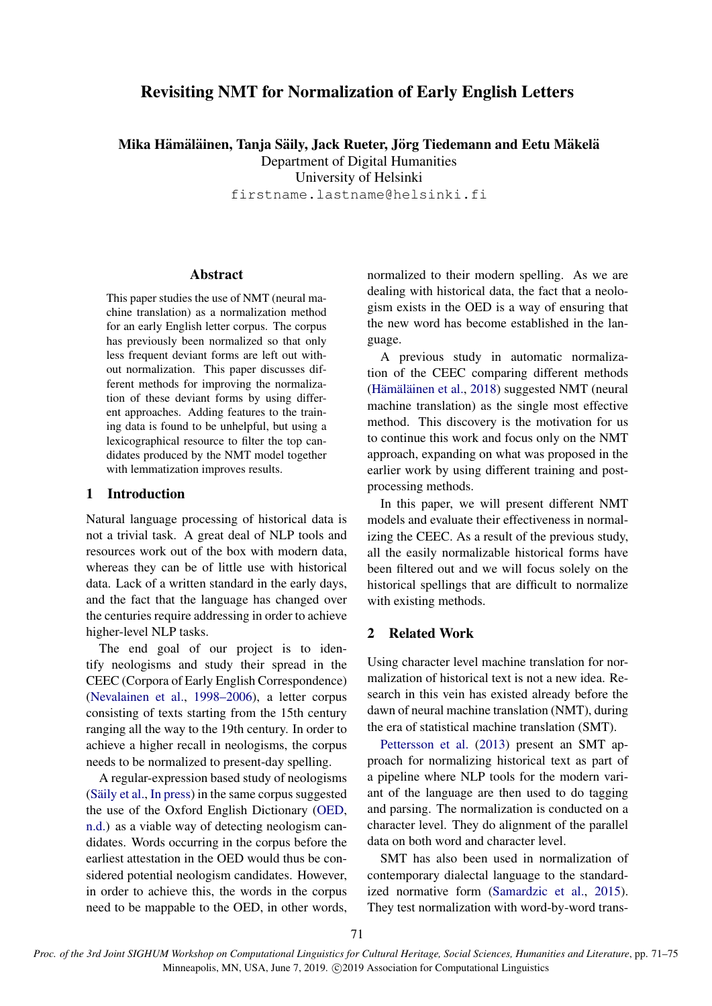# Revisiting NMT for Normalization of Early English Letters

Mika Hämäläinen, Tanja Säily, Jack Rueter, Jörg Tiedemann and Eetu Mäkelä

Department of Digital Humanities

University of Helsinki

firstname.lastname@helsinki.fi

### Abstract

This paper studies the use of NMT (neural machine translation) as a normalization method for an early English letter corpus. The corpus has previously been normalized so that only less frequent deviant forms are left out without normalization. This paper discusses different methods for improving the normalization of these deviant forms by using different approaches. Adding features to the training data is found to be unhelpful, but using a lexicographical resource to filter the top candidates produced by the NMT model together with lemmatization improves results.

# 1 Introduction

Natural language processing of historical data is not a trivial task. A great deal of NLP tools and resources work out of the box with modern data, whereas they can be of little use with historical data. Lack of a written standard in the early days, and the fact that the language has changed over the centuries require addressing in order to achieve higher-level NLP tasks.

The end goal of our project is to identify neologisms and study their spread in the CEEC (Corpora of Early English Correspondence) [\(Nevalainen et al.,](#page-4-0) [1998–2006\)](#page-4-0), a letter corpus consisting of texts starting from the 15th century ranging all the way to the 19th century. In order to achieve a higher recall in neologisms, the corpus needs to be normalized to present-day spelling.

A regular-expression based study of neologisms (Säily et al., [In press\)](#page-4-1) in the same corpus suggested the use of the Oxford English Dictionary [\(OED,](#page-4-2) [n.d.\)](#page-4-2) as a viable way of detecting neologism candidates. Words occurring in the corpus before the earliest attestation in the OED would thus be considered potential neologism candidates. However, in order to achieve this, the words in the corpus need to be mappable to the OED, in other words,

normalized to their modern spelling. As we are dealing with historical data, the fact that a neologism exists in the OED is a way of ensuring that the new word has become established in the language.

A previous study in automatic normalization of the CEEC comparing different methods (Hämäläinen et al.,  $2018$ ) suggested NMT (neural machine translation) as the single most effective method. This discovery is the motivation for us to continue this work and focus only on the NMT approach, expanding on what was proposed in the earlier work by using different training and postprocessing methods.

In this paper, we will present different NMT models and evaluate their effectiveness in normalizing the CEEC. As a result of the previous study, all the easily normalizable historical forms have been filtered out and we will focus solely on the historical spellings that are difficult to normalize with existing methods.

# 2 Related Work

Using character level machine translation for normalization of historical text is not a new idea. Research in this vein has existed already before the dawn of neural machine translation (NMT), during the era of statistical machine translation (SMT).

[Pettersson et al.](#page-4-3) [\(2013\)](#page-4-3) present an SMT approach for normalizing historical text as part of a pipeline where NLP tools for the modern variant of the language are then used to do tagging and parsing. The normalization is conducted on a character level. They do alignment of the parallel data on both word and character level.

SMT has also been used in normalization of contemporary dialectal language to the standardized normative form [\(Samardzic et al.,](#page-4-4) [2015\)](#page-4-4). They test normalization with word-by-word trans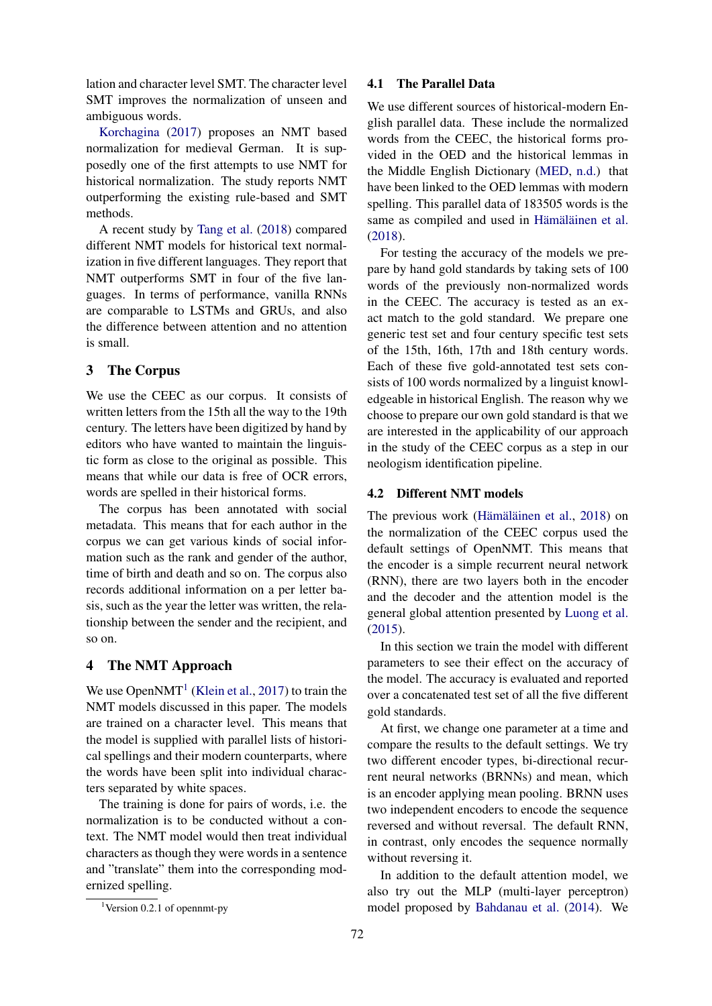lation and character level SMT. The character level SMT improves the normalization of unseen and ambiguous words.

[Korchagina](#page-3-1) [\(2017\)](#page-3-1) proposes an NMT based normalization for medieval German. It is supposedly one of the first attempts to use NMT for historical normalization. The study reports NMT outperforming the existing rule-based and SMT methods.

A recent study by [Tang et al.](#page-4-5) [\(2018\)](#page-4-5) compared different NMT models for historical text normalization in five different languages. They report that NMT outperforms SMT in four of the five languages. In terms of performance, vanilla RNNs are comparable to LSTMs and GRUs, and also the difference between attention and no attention is small.

# 3 The Corpus

We use the CEEC as our corpus. It consists of written letters from the 15th all the way to the 19th century. The letters have been digitized by hand by editors who have wanted to maintain the linguistic form as close to the original as possible. This means that while our data is free of OCR errors, words are spelled in their historical forms.

The corpus has been annotated with social metadata. This means that for each author in the corpus we can get various kinds of social information such as the rank and gender of the author, time of birth and death and so on. The corpus also records additional information on a per letter basis, such as the year the letter was written, the relationship between the sender and the recipient, and so on.

### 4 The NMT Approach

We use Open $NMT<sup>1</sup>$  $NMT<sup>1</sup>$  $NMT<sup>1</sup>$  [\(Klein et al.,](#page-3-2) [2017\)](#page-3-2) to train the NMT models discussed in this paper. The models are trained on a character level. This means that the model is supplied with parallel lists of historical spellings and their modern counterparts, where the words have been split into individual characters separated by white spaces.

The training is done for pairs of words, i.e. the normalization is to be conducted without a context. The NMT model would then treat individual characters as though they were words in a sentence and "translate" them into the corresponding modernized spelling.

#### 4.1 The Parallel Data

We use different sources of historical-modern English parallel data. These include the normalized words from the CEEC, the historical forms provided in the OED and the historical lemmas in the Middle English Dictionary [\(MED,](#page-4-6) [n.d.\)](#page-4-6) that have been linked to the OED lemmas with modern spelling. This parallel data of 183505 words is the same as compiled and used in Hämäläinen et al. [\(2018\)](#page-3-0).

For testing the accuracy of the models we prepare by hand gold standards by taking sets of 100 words of the previously non-normalized words in the CEEC. The accuracy is tested as an exact match to the gold standard. We prepare one generic test set and four century specific test sets of the 15th, 16th, 17th and 18th century words. Each of these five gold-annotated test sets consists of 100 words normalized by a linguist knowledgeable in historical English. The reason why we choose to prepare our own gold standard is that we are interested in the applicability of our approach in the study of the CEEC corpus as a step in our neologism identification pipeline.

#### 4.2 Different NMT models

The previous work (Hämäläinen et al., [2018\)](#page-3-0) on the normalization of the CEEC corpus used the default settings of OpenNMT. This means that the encoder is a simple recurrent neural network (RNN), there are two layers both in the encoder and the decoder and the attention model is the general global attention presented by [Luong et al.](#page-4-7) [\(2015\)](#page-4-7).

In this section we train the model with different parameters to see their effect on the accuracy of the model. The accuracy is evaluated and reported over a concatenated test set of all the five different gold standards.

At first, we change one parameter at a time and compare the results to the default settings. We try two different encoder types, bi-directional recurrent neural networks (BRNNs) and mean, which is an encoder applying mean pooling. BRNN uses two independent encoders to encode the sequence reversed and without reversal. The default RNN, in contrast, only encodes the sequence normally without reversing it.

In addition to the default attention model, we also try out the MLP (multi-layer perceptron) model proposed by [Bahdanau et al.](#page-3-3) [\(2014\)](#page-3-3). We

<span id="page-1-0"></span><sup>&</sup>lt;sup>1</sup>Version 0.2.1 of opennmt-py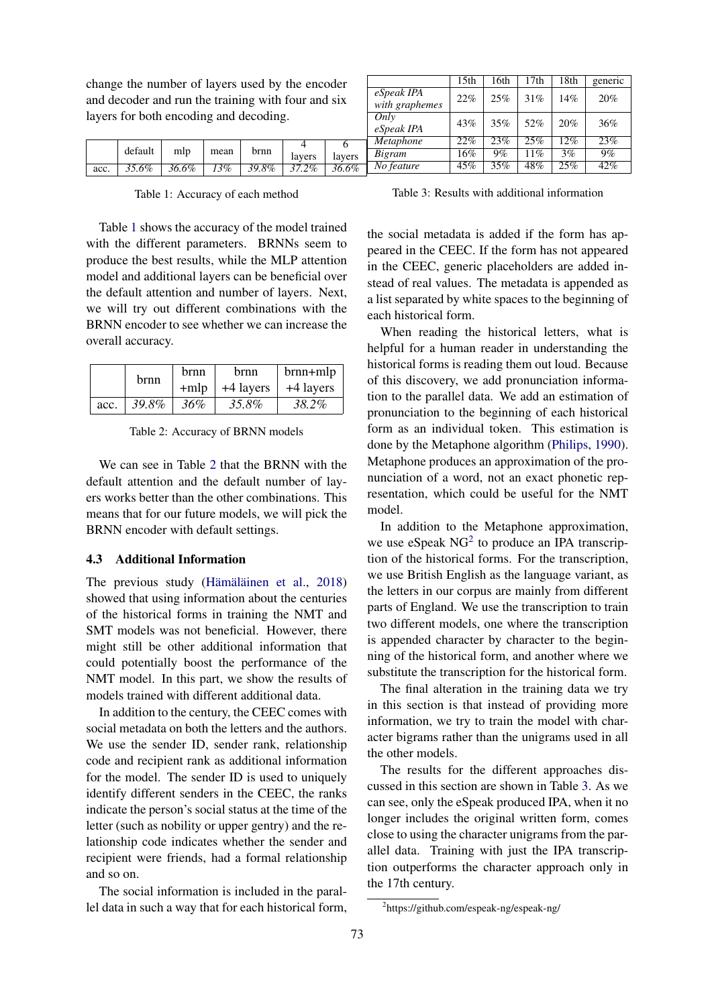change the number of layers used by the encoder and decoder and run the training with four and six layers for both encoding and decoding.

<span id="page-2-0"></span>

|      |         |       |      |       |             |        | eSpeak IPA       | 43% | 35% | $52\%$ | 20%    | 36% |
|------|---------|-------|------|-------|-------------|--------|------------------|-----|-----|--------|--------|-----|
|      |         |       |      |       |             |        | <i>Metaphone</i> | 22% | 23% | $25\%$ | 12%    | 23% |
|      | default | mlp   | mean | brnn  | lavers      | layers | <b>Bigram</b>    | 16% | 9%  | $1\%$  | 3%     | 9%  |
| acc. | 35.6%   | 36.6% | 13%  | 39.8% | $2\%$<br>27 | 36.6%  | No feature       | 45% | 35% | 48%    | $25\%$ | 42% |

Table 1: Accuracy of each method

Table [1](#page-2-0) shows the accuracy of the model trained with the different parameters. BRNNs seem to produce the best results, while the MLP attention model and additional layers can be beneficial over the default attention and number of layers. Next, we will try out different combinations with the BRNN encoder to see whether we can increase the overall accuracy.

<span id="page-2-1"></span>

|      | brnn  | brnn   | hrnn      | $brnn+mlp$ |  |
|------|-------|--------|-----------|------------|--|
|      |       | $+mlp$ | +4 layers | +4 layers  |  |
| acc. | 39.8% | $36\%$ | 35.8%     | 38.2%      |  |

Table 2: Accuracy of BRNN models

We can see in Table [2](#page-2-1) that the BRNN with the default attention and the default number of layers works better than the other combinations. This means that for our future models, we will pick the BRNN encoder with default settings.

#### 4.3 Additional Information

The previous study (Hämäläinen et al., [2018\)](#page-3-0) showed that using information about the centuries of the historical forms in training the NMT and SMT models was not beneficial. However, there might still be other additional information that could potentially boost the performance of the NMT model. In this part, we show the results of models trained with different additional data.

In addition to the century, the CEEC comes with social metadata on both the letters and the authors. We use the sender ID, sender rank, relationship code and recipient rank as additional information for the model. The sender ID is used to uniquely identify different senders in the CEEC, the ranks indicate the person's social status at the time of the letter (such as nobility or upper gentry) and the relationship code indicates whether the sender and recipient were friends, had a formal relationship and so on.

The social information is included in the parallel data in such a way that for each historical form,

<span id="page-2-3"></span>

|                              | 15 <sub>th</sub> | 16th | 17th | 18th | generic |
|------------------------------|------------------|------|------|------|---------|
| eSpeak IPA<br>with graphemes | 22%              | 25%  | 31%  | 14%  | 20%     |
| Only<br>eSpeak IPA           | 43%              | 35%  | 52%  | 20%  | 36%     |
| Metaphone                    | 22%              | 23%  | 25%  | 12%  | 23%     |
| <b>Bigram</b>                | 16%              | 9%   | 11%  | 3%   | 9%      |
| No feature                   | 45%              | 35%  | 48%  | 25%  | 42%     |

Table 3: Results with additional information

the social metadata is added if the form has appeared in the CEEC. If the form has not appeared in the CEEC, generic placeholders are added instead of real values. The metadata is appended as a list separated by white spaces to the beginning of each historical form.

When reading the historical letters, what is helpful for a human reader in understanding the historical forms is reading them out loud. Because of this discovery, we add pronunciation information to the parallel data. We add an estimation of pronunciation to the beginning of each historical form as an individual token. This estimation is done by the Metaphone algorithm [\(Philips,](#page-4-8) [1990\)](#page-4-8). Metaphone produces an approximation of the pronunciation of a word, not an exact phonetic representation, which could be useful for the NMT model.

In addition to the Metaphone approximation, we use eSpeak  $NG^2$  $NG^2$  to produce an IPA transcription of the historical forms. For the transcription, we use British English as the language variant, as the letters in our corpus are mainly from different parts of England. We use the transcription to train two different models, one where the transcription is appended character by character to the beginning of the historical form, and another where we substitute the transcription for the historical form.

The final alteration in the training data we try in this section is that instead of providing more information, we try to train the model with character bigrams rather than the unigrams used in all the other models.

The results for the different approaches discussed in this section are shown in Table [3.](#page-2-3) As we can see, only the eSpeak produced IPA, when it no longer includes the original written form, comes close to using the character unigrams from the parallel data. Training with just the IPA transcription outperforms the character approach only in the 17th century.

<span id="page-2-2"></span><sup>2</sup> https://github.com/espeak-ng/espeak-ng/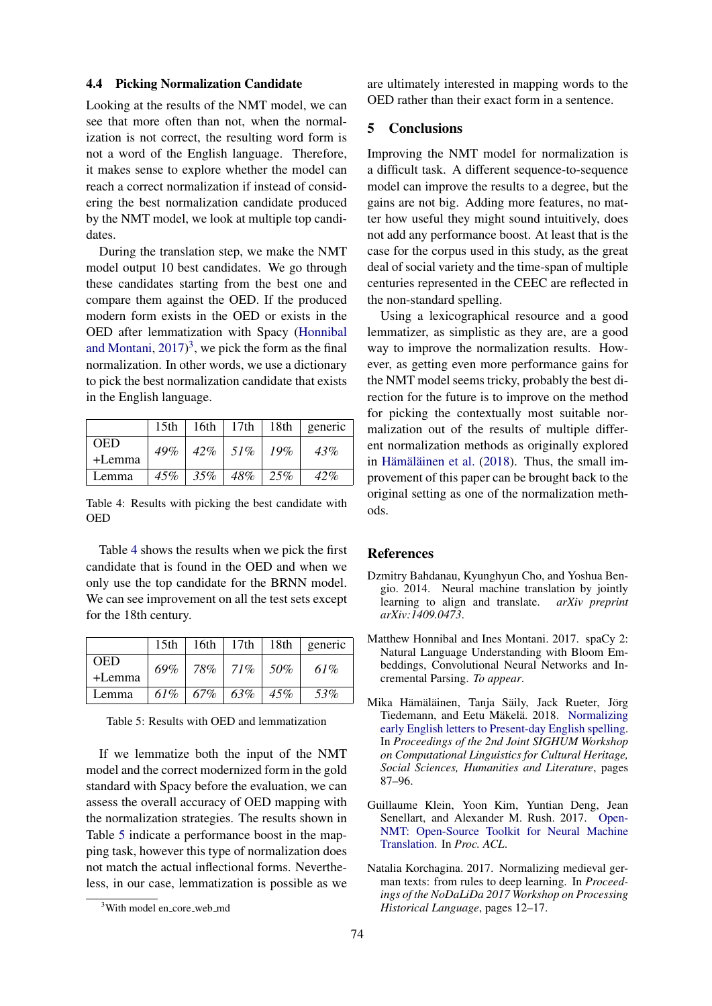### 4.4 Picking Normalization Candidate

Looking at the results of the NMT model, we can see that more often than not, when the normalization is not correct, the resulting word form is not a word of the English language. Therefore, it makes sense to explore whether the model can reach a correct normalization if instead of considering the best normalization candidate produced by the NMT model, we look at multiple top candidates.

During the translation step, we make the NMT model output 10 best candidates. We go through these candidates starting from the best one and compare them against the OED. If the produced modern form exists in the OED or exists in the OED after lemmatization with Spacy [\(Honnibal](#page-3-4) [and Montani,](#page-3-4)  $2017$ <sup>[3](#page-3-5)</sup>, we pick the form as the final normalization. In other words, we use a dictionary to pick the best normalization candidate that exists in the English language.

<span id="page-3-6"></span>

|            | 15th |                                   |  | $16th$ 17th 18th generic |
|------------|------|-----------------------------------|--|--------------------------|
| <b>OED</b> |      | $49\%$   $42\%$   $51\%$   $19\%$ |  | 43%                      |
| +Lemma     |      |                                   |  |                          |
| Lemma      |      | $45\%$   $35\%$   $48\%$   $25\%$ |  | 42%                      |

Table 4: Results with picking the best candidate with OED

Table [4](#page-3-6) shows the results when we pick the first candidate that is found in the OED and when we only use the top candidate for the BRNN model. We can see improvement on all the test sets except for the 18th century.

<span id="page-3-7"></span>

|            | 15 <sub>th</sub> |                                   |        | 16th   17th   18th   generic |
|------------|------------------|-----------------------------------|--------|------------------------------|
| <b>OED</b> | 69%              | 78%   71%                         | $50\%$ | 61%                          |
| +Lemma     |                  |                                   |        |                              |
| Lemma      |                  | $61\%$   $67\%$   $63\%$   $45\%$ |        | 53%                          |

Table 5: Results with OED and lemmatization

If we lemmatize both the input of the NMT model and the correct modernized form in the gold standard with Spacy before the evaluation, we can assess the overall accuracy of OED mapping with the normalization strategies. The results shown in Table [5](#page-3-7) indicate a performance boost in the mapping task, however this type of normalization does not match the actual inflectional forms. Nevertheless, in our case, lemmatization is possible as we are ultimately interested in mapping words to the OED rather than their exact form in a sentence.

## 5 Conclusions

Improving the NMT model for normalization is a difficult task. A different sequence-to-sequence model can improve the results to a degree, but the gains are not big. Adding more features, no matter how useful they might sound intuitively, does not add any performance boost. At least that is the case for the corpus used in this study, as the great deal of social variety and the time-span of multiple centuries represented in the CEEC are reflected in the non-standard spelling.

Using a lexicographical resource and a good lemmatizer, as simplistic as they are, are a good way to improve the normalization results. However, as getting even more performance gains for the NMT model seems tricky, probably the best direction for the future is to improve on the method for picking the contextually most suitable normalization out of the results of multiple different normalization methods as originally explored in Hämäläinen et al. [\(2018\)](#page-3-0). Thus, the small improvement of this paper can be brought back to the original setting as one of the normalization methods.

#### **References**

- <span id="page-3-3"></span>Dzmitry Bahdanau, Kyunghyun Cho, and Yoshua Bengio. 2014. Neural machine translation by jointly learning to align and translate. *arXiv preprint arXiv:1409.0473*.
- <span id="page-3-4"></span>Matthew Honnibal and Ines Montani. 2017. spaCy 2: Natural Language Understanding with Bloom Embeddings, Convolutional Neural Networks and Incremental Parsing. *To appear*.
- <span id="page-3-0"></span>Mika Hämäläinen, Tanja Säily, Jack Rueter, Jörg Tiedemann, and Eetu Mäkelä. 2018. [Normalizing](https://aclweb.org/anthology/W18-4510) [early English letters to Present-day English spelling.](https://aclweb.org/anthology/W18-4510) In *Proceedings of the 2nd Joint SIGHUM Workshop on Computational Linguistics for Cultural Heritage, Social Sciences, Humanities and Literature*, pages 87–96.
- <span id="page-3-2"></span>Guillaume Klein, Yoon Kim, Yuntian Deng, Jean Senellart, and Alexander M. Rush. 2017. [Open-](https://doi.org/10.18653/v1/P17-4012)[NMT: Open-Source Toolkit for Neural Machine](https://doi.org/10.18653/v1/P17-4012) [Translation.](https://doi.org/10.18653/v1/P17-4012) In *Proc. ACL*.
- <span id="page-3-1"></span>Natalia Korchagina. 2017. Normalizing medieval german texts: from rules to deep learning. In *Proceedings of the NoDaLiDa 2017 Workshop on Processing Historical Language*, pages 12–17.

<span id="page-3-5"></span><sup>&</sup>lt;sup>3</sup>With model en\_core\_web\_md